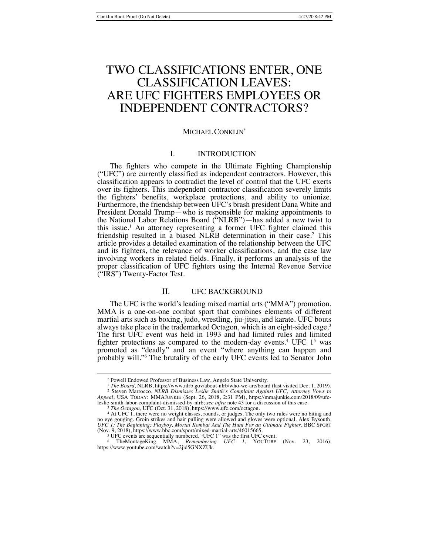# TWO CLASSIFICATIONS ENTER, ONE CLASSIFICATION LEAVES: ARE UFC FIGHTERS EMPLOYEES OR INDEPENDENT CONTRACTORS?

# MICHAEL CONKLIN*\**

# I. INTRODUCTION

The fighters who compete in the Ultimate Fighting Championship ("UFC") are currently classified as independent contractors. However, this classification appears to contradict the level of control that the UFC exerts over its fighters. This independent contractor classification severely limits the fighters' benefits, workplace protections, and ability to unionize. Furthermore, the friendship between UFC's brash president Dana White and President Donald Trump—who is responsible for making appointments to the National Labor Relations Board ("NLRB")—has added a new twist to this issue.1 An attorney representing a former UFC fighter claimed this friendship resulted in a biased NLRB determination in their case.<sup>2</sup> This article provides a detailed examination of the relationship between the UFC and its fighters, the relevance of worker classifications, and the case law involving workers in related fields. Finally, it performs an analysis of the proper classification of UFC fighters using the Internal Revenue Service ("IRS") Twenty-Factor Test.

## II. UFC BACKGROUND

The UFC is the world's leading mixed martial arts ("MMA") promotion. MMA is a one-on-one combat sport that combines elements of different martial arts such as boxing, judo, wrestling, jiu-jitsu, and karate. UFC bouts always take place in the trademarked Octagon, which is an eight-sided cage.<sup>3</sup> The first UFC event was held in 1993 and had limited rules and limited fighter protections as compared to the modern-day events.<sup>4</sup> UFC  $1<sup>5</sup>$  was promoted as "deadly" and an event "where anything can happen and probably will."6 The brutality of the early UFC events led to Senator John

<sup>\*</sup> Powell Endowed Professor of Business Law, Angelo State University.

<sup>1</sup> *The Board*, NLRB, https://www.nlrb.gov/about-nlrb/who-we-are/board (last visited Dec. 1, 2019). <sup>2</sup> Steven Marrocco, *NLRB Dismisses Leslie Smith's Complaint Against UFC; Attorney Vows to Appeal*, USA TODAY: MMAJUNKIE (Sept. 26, 2018, 2:31 PM), https://mmajunkie.com/2018/09/ufcleslie-smith-labor-complaint-dismissed-by-nlrb; *see infra* note 43 for a discussion of this case.

<sup>3</sup> *The Octagon*, UFC (Oct. 31, 2018), https://www.ufc.com/octagon.

<sup>4</sup> At UFC 1, there were no weight classes, rounds, or judges. The only two rules were no biting and no eye gouging. Groin strikes and hair pulling were allowed and gloves were optional. Alex Bysouth, *UFC 1: The Beginning: Playboy, Mortal Kombat And The Hunt For an Ultimate Fighter*, BBC SPORT (Nov. 9, 2018), https://www.bbc.com/sport/mixed-martial-arts/46015665.

<sup>5</sup> UFC events are sequentially numbered. "UFC 1" was the first UFC event.

<sup>6</sup> TheMontageKing MMA, *Remembering UFC 1*, YOUTUBE (Nov. 23, 2016), https://www.youtube.com/watch?v=2jid5GNXZUk.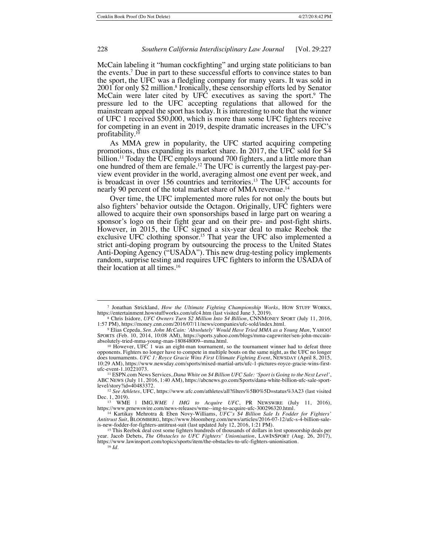McCain labeling it "human cockfighting" and urging state politicians to ban the events.7 Due in part to these successful efforts to convince states to ban the sport, the UFC was a fledgling company for many years. It was sold in 2001 for only \$2 million.<sup>8</sup> Ironically, these censorship efforts led by Senator McCain were later cited by UFC executives as saving the sport.<sup>9</sup> The pressure led to the UFC accepting regulations that allowed for the mainstream appeal the sport has today. It is interesting to note that the winner of UFC 1 received \$50,000, which is more than some UFC fighters receive for competing in an event in 2019, despite dramatic increases in the UFC's profitability.10

As MMA grew in popularity, the UFC started acquiring competing promotions, thus expanding its market share. In 2017, the UFC sold for \$4 billion.<sup>11</sup> Today the UFC employs around 700 fighters, and a little more than one hundred of them are female.12 The UFC is currently the largest pay-perview event provider in the world, averaging almost one event per week, and is broadcast in over 156 countries and territories.13 The UFC accounts for nearly 90 percent of the total market share of MMA revenue.<sup>14</sup>

Over time, the UFC implemented more rules for not only the bouts but also fighters' behavior outside the Octagon. Originally, UFC fighters were allowed to acquire their own sponsorships based in large part on wearing a sponsor's logo on their fight gear and on their pre- and post-fight shirts. However, in 2015, the UFC signed a six-year deal to make Reebok the exclusive UFC clothing sponsor.<sup>15</sup> That year the UFC also implemented a strict anti-doping program by outsourcing the process to the United States Anti-Doping Agency ("USADA"). This new drug-testing policy implements random, surprise testing and requires UFC fighters to inform the USADA of their location at all times.16

<sup>7</sup> Jonathan Strickland, *How the Ultimate Fighting Championship Works*, HOW STUFF WORKS, https://entertainment.howstuffworks.com/ufc4.htm (last visited June 3, 2019).

<sup>8</sup> Chris Isidore, *UFC Owners Turn \$2 Million Into \$4 Billion*, CNNMONEY SPORT (July 11, 2016, 1:57 PM), https://money.cnn.com/2016/07/11/news/companies/ufc-sold/index.html.

<sup>9</sup> Elias Cepeda, *Sen. John McCain: 'Absolutely' Would Have Tried MMA as a Young Man*, YAHOO! SPORTS (Feb. 10, 2014, 10:08 AM), https://sports.yahoo.com/blogs/mma-cagewriter/sen-john-mccainabsolutely-tried-mma-young-man-180848009--mma.html.

<sup>10</sup> However, UFC 1 was an eight-man tournament, so the tournament winner had to defeat three opponents. Fighters no longer have to compete in multiple bouts on the same night, as the UFC no longer does tournaments. *UFC 1: Royce Gracie Wins First Ultimate Fighting Event*, NEWSDAY (April 8, 2015, 10:29 AM), https://www.newsday.com/sports/mixed-martial-arts/ufc-1-pictures-royce-gracie-wins-firstufc-event-1.10221073.

<sup>11</sup> ESPN.com News Services, *Dana White on \$4 Billion UFC Sale: 'Sport is Going to the Next Level'*, ABC NEWS (July 11, 2016, 1:40 AM), https://abcnews.go.com/Sports/dana-white-billion-ufc-sale-sportlevel/story?id=40483372.

<sup>12</sup> *See Athletes*, UFC, https://www.ufc.com/athletes/all?filters%5B0%5D=status%3A23 (last visited Dec. 1, 2019).

<sup>13</sup> WME | IMG*,WME | IMG to Acquire UFC*, PR NEWSWIRE (July 11, 2016), https://www.prnewswire.com/news-releases/wme--img-to-acquire-ufc-300296320.html.

<sup>14</sup> Kartikay Mehrotra & Eben Novy-Williams, *UFC's \$4 Billion Sale Is Fodder for Fighters' Antitrust Suit*, BLOOMBERG, https://www.bloomberg.com/news/articles/2016-07-12/ufc-s-4-billion-sale-is-new-fodder-for-fighters-antitrust-suit (last updated July 12, 2016, 1:21 PM).

<sup>15</sup> This Reebok deal cost some fighters hundreds of thousands of dollars in lost sponsorship deals per vear. Jacob Debets, *The Obstacles to UFC Fighters' Unionisation*, LAWINSPORT (Aug. 26, 2017), https://www.lawinsport.com/topics/sports/item/the-obstacles-to-ufc-fighters-unionisation. 16 *Id.*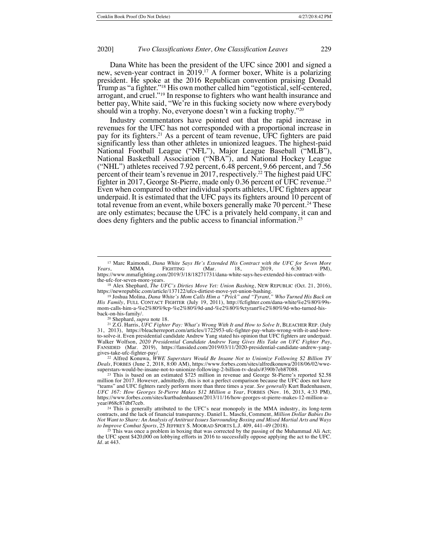Dana White has been the president of the UFC since 2001 and signed a new, seven-year contract in 2019.17 A former boxer, White is a polarizing president. He spoke at the 2016 Republican convention praising Donald Trump as "a fighter."<sup>18</sup> His own mother called him "egotistical, self-centered, arrogant, and cruel."<sup>19</sup> In response to fighters who want health insurance and better pay, White said, "We're in this fucking society now where everybody should win a trophy. No, everyone doesn't win a fucking trophy."20

Industry commentators have pointed out that the rapid increase in revenues for the UFC has not corresponded with a proportional increase in pay for its fighters.<sup>21</sup> As a percent of team revenue, UFC fighters are paid significantly less than other athletes in unionized leagues. The highest-paid National Football League ("NFL"), Major League Baseball ("MLB"), National Basketball Association ("NBA"), and National Hockey League ("NHL") athletes received 7.92 percent, 6.48 percent, 9.66 percent, and 7.56 percent of their team's revenue in 2017, respectively.<sup>22</sup> The highest paid UFC fighter in 2017, George St-Pierre, made only 0.36 percent of UFC revenue.<sup>23</sup> Even when compared to other individual sports athletes, UFC fighters appear underpaid. It is estimated that the UFC pays its fighters around 10 percent of total revenue from an event, while boxers generally make 70 percent.<sup>24</sup> These are only estimates; because the UFC is a privately held company, it can and does deny fighters and the public access to financial information.25

<sup>20</sup> Shephard, *supra* note 18.

<sup>22</sup> Alfred Konuwa, *WWE Superstars Would Be Insane Not to Unionize Following \$2 Billion TV Deals*, FORBES (June 2, 2018, 8:00 AM), https://www.forbes.com/sites/alfredkonuwa/2018/06/02/wwesuperstars-would-be-insane-not-to-unionize-following-2-billion-tv-deals/#390b7eb87088.

<sup>17</sup> Marc Raimondi, *Dana White Says He's Extended His Contract with the UFC for Seven More Years*, MMA FIGHTING (Mar. 18, 2019, 6:30 PM), https://www.mmafighting.com/2019/3/18/18271731/dana-white-says-hes-extended-his-contract-with- the-ufc-for-seven-more-years.

<sup>18</sup> Alex Shephard, *The UFC's Dirties Move Yet: Union Bashing*, NEW REPUBLIC (Oct. 21, 2016),

https://newrepublic.com/article/137122/ufcs-dirtiest-move-yet-union-bashing. <sup>19</sup> Joshua Molina, *Dana White's Mom Calls Him a "Prick" and "Tyrant," Who Turned His Back on His Family*, FULL CONTACT FIGHTER (July 19, 2011), http://fcfighter.com/dana-white%e2%80%99smom-calls-him-a-%e2%80%9cp-%e2%80%9d-and-%e2%80%9ctyrant%e2%80%9d-who-turned-hisback-on-his-family/.

<sup>21</sup> Z.G. Harris, *UFC Fighter Pay: What's Wrong With It and How to Solve It*, BLEACHER REP. (July 31, 2013), https://bleacherreport.com/articles/1722953-ufc-fighter-pay-whats-wrong-with-it-and-howto-solve-it. Even presidential candidate Andrew Yang stated his opinion that UFC fighters are underpaid. Walker Wolfson, *2020 Presidential Candidate Andrew Yang Gives His Take on UFC Fighter Pay*, FANSIDED (Mar. 2019), https://fansided.com/2019/03/11/2020-presidential-candidate-andrew-yanggives-take-ufc-fighter-pay/.

<sup>23</sup> This is based on an estimated \$725 million in revenue and George St-Pierre's reported \$2.58 million for 2017. However, admittedly, this is not a perfect comparison because the UFC does not have "teams" and UFC fighters rarely perform more than three times a year. *See generally* Kurt Badenhausen, *UFC 167: How Georges St-Pierre Makes \$12 Million a Year*, FORBES (Nov. 16, 2013, 4:33 PM), https://www.forbes.com/sites/kurtbadenhausen/2013/11/16/how-georges-st-pierre-makes-12-million-ayear/#68c87dbf7ceb.

<sup>&</sup>lt;sup>24</sup> This is generally attributed to the UFC's near monopoly in the MMA industry, its long-term contracts, and the lack of financial transparency. Daniel L. Maschi, Comment, *Million Dollar Babies Do Not Want to Share: An Analysis of Antitrust Issues Surrounding Boxing and Mixed Martial Arts and Ways to Improve Combat Sports, 25 JEFFREY S. MOORAD Sports L.J. 409, 441–49 (2018)*<br><sup>25</sup> This was once a problem in boxing that my the combat of the combat of the combat of the combat of the combat of the combat of the combat

This was once a problem in boxing that was corrected by the passing of the Muhammad Ali Act; the UFC spent \$420,000 on lobbying efforts in 2016 to successfully oppose applying the act to the UFC. *Id.* at 443.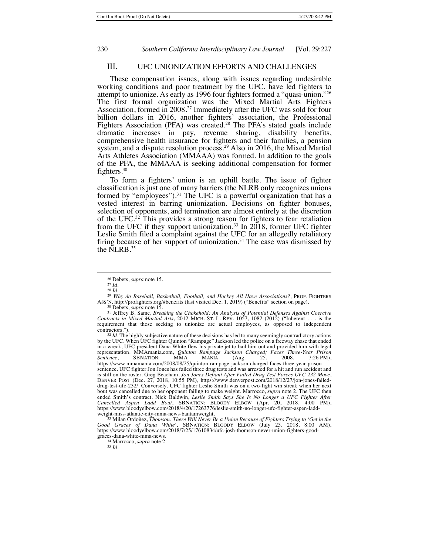## III. UFC UNIONIZATION EFFORTS AND CHALLENGES

These compensation issues, along with issues regarding undesirable working conditions and poor treatment by the UFC, have led fighters to attempt to unionize. As early as 1996 four fighters formed a "quasi-union."26 The first formal organization was the Mixed Martial Arts Fighters Association, formed in 2008.<sup>27</sup> Immediately after the UFC was sold for four billion dollars in 2016, another fighters' association, the Professional Fighters Association (PFA) was created.<sup>28</sup> The PFA's stated goals include dramatic increases in pay, revenue sharing, disability benefits, comprehensive health insurance for fighters and their families, a pension system, and a dispute resolution process.<sup>29</sup> Also in 2016, the Mixed Martial Arts Athletes Association (MMAAA) was formed. In addition to the goals of the PFA, the MMAAA is seeking additional compensation for former fighters.30

To form a fighters' union is an uphill battle. The issue of fighter classification is just one of many barriers (the NLRB only recognizes unions formed by "employees").<sup>31</sup> The UFC is a powerful organization that has a vested interest in barring unionization. Decisions on fighter bonuses, selection of opponents, and termination are almost entirely at the discretion of the UFC.<sup>32</sup> This provides a strong reason for fighters to fear retaliation from the UFC if they support unionization.<sup>33</sup> In  $2018$ , former UFC fighter Leslie Smith filed a complaint against the UFC for an allegedly retaliatory firing because of her support of unionization.<sup>34</sup> The case was dismissed by the NLRB.35

<sup>32</sup> *Id.* The highly subjective nature of these decisions has led to many seemingly contradictory actions by the UFC. When UFC fighter Quinton "Rampage" Jackson led the police on a freeway chase that ended in a wreck, UFC president Dana White flew his private jet to bail him out and provided him with legal representation. MMAmania.com, *Quinton Rampage Jackson Charged; Faces Three-Year Prison Sentence*, SBNATION: MMA MANIA (Aug. 25, 2008, 7:26 PM), https://www.mmamania.com/2008/08/25/quinton-rampage-jackson-charged-faces-three-year-prisonsentence. UFC fighter Jon Jones has failed three drug tests and was arrested for a hit and run accident and is still on the roster. Greg Beacham, *Jon Jones Defiant After Failed Drug Test Forces UFC 232 Move*, DENVER POST (Dec. 27, 2018, 10:55 PM), https://www.denverpost.com/2018/12/27/jon-jones-faileddrug-test-ufc-232/. Conversely, UFC fighter Leslie Smith was on a two-fight win streak when her next bout was cancelled due to her opponent failing to make weight. Marrocco, *supra* note 2. The UFC then ended Smith's contract. Nick Baldwin, *Leslie Smith Says She Is No Longer a UFC Fighter After*<br>Cancelled Aspen Ladd Bout, SBNATION: BLOODY ELBOW (Apr. 20, 2018, 4:00 PM),<br>https://www.bloodyelbow.com/2018/4/20/17263776/lesl weight-miss-atlantic-city-mma-news-bantamweight.

<sup>33</sup> Milan Ordoñez, *Thomson: There Will Never Be a Union Because of Fighters Trying to 'Get in the Good Graces of Dana White*', SBNATION: BLOODY ELBOW (July 25, 2018, 8:00 AM), https://www.bloodyelbow.com/2018/7/25/17610834/ufc-josh-thomson-never-union-fighters-goodgraces-dana-white-mma-news.

<sup>34</sup> Marrocco, *supra* note 2.

<sup>35</sup> *Id.*

<sup>26</sup> Debets, *supra* note 15.

 $27 \overline{Id}$ . <sup>28</sup> *Id.*

<sup>29</sup> *Why do Baseball, Basketball, Football, and Hockey All Have Associations?*, PROF. FIGHTERS ASS'N, http://profighters.org/#benefits (last visited Dec. 1, 2019) ("Benefits" section on page).

<sup>30</sup> Debets, *supra* note 15.

<sup>31</sup> Jeffrey B. Same, *Breaking the Chokehold: An Analysis of Potential Defenses Against Coercive Contracts in Mixed Martial Arts*, 2012 MICH. ST. L. REV. 1057, 1082 (2012) ("Inherent . . . is the requirement that those seeking to unionize are actual employees, as opposed to independent contractors.").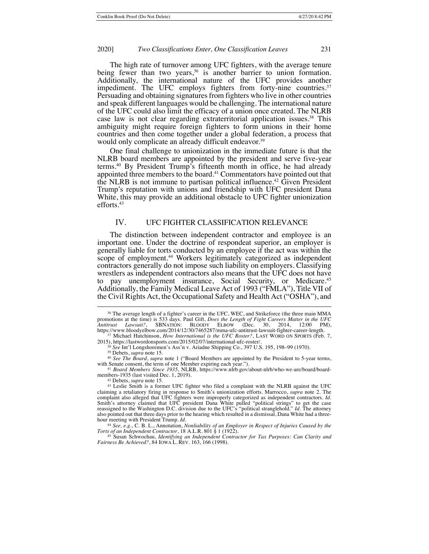The high rate of turnover among UFC fighters, with the average tenure being fewer than two years,  $36$  is another barrier to union formation. Additionally, the international nature of the UFC provides another impediment. The UFC employs fighters from forty-nine countries.<sup>37</sup> Persuading and obtaining signatures from fighters who live in other countries and speak different languages would be challenging. The international nature of the UFC could also limit the efficacy of a union once created. The NLRB case law is not clear regarding extraterritorial application issues.<sup>38</sup> This ambiguity might require foreign fighters to form unions in their home countries and then come together under a global federation, a process that would only complicate an already difficult endeavor.<sup>39</sup>

One final challenge to unionization in the immediate future is that the NLRB board members are appointed by the president and serve five-year terms.40 By President Trump's fifteenth month in office, he had already appointed three members to the board.41 Commentators have pointed out that the NLRB is not immune to partisan political influence.<sup>42</sup> Given President Trump's reputation with unions and friendship with UFC president Dana White, this may provide an additional obstacle to UFC fighter unionization efforts.43

## IV. UFC FIGHTER CLASSIFICATION RELEVANCE

The distinction between independent contractor and employee is an important one. Under the doctrine of respondeat superior, an employer is generally liable for torts conducted by an employee if the act was within the scope of employment.<sup>44</sup> Workers legitimately categorized as independent contractors generally do not impose such liability on employers. Classifying wrestlers as independent contractors also means that the UFC does not have to pay unemployment insurance, Social Security, or Medicare.<sup>45</sup> Additionally, the Family Medical Leave Act of 1993 ("FMLA"), Title VII of the Civil Rights Act, the Occupational Safety and Health Act ("OSHA"), and

<sup>40</sup> *See The Board*, *supra* note 1 ("Board Members are appointed by the President to 5-year terms, with Senate consent, the term of one Member expiring each year.").

*Fairness Be Achieved?*, 84 IOWA L. REV. 163, 166 (1998).

<sup>36</sup> The average length of a fighter's career in the UFC, WEC, and Strikeforce (the three main MMA promotions at the time) is 533 days. Paul Gift, *Does the Length of Fight Careers Matter in the UFC Antitrust Lawsuit?*, SBNATION: BLOODY ELBOW (Dec. 30, 2014, 12:00 PM), https://www.bloodyelbow.com/2014/12/30/7465287/mma-ufc-antitrust-lawsuit-fighter-career-length. <sup>37</sup> Michael Hutchinson, *How International is the UFC Roster?*, LAST WORD ON SPORTS (Feb. 7,

<sup>2015),</sup> https://lastwordonsports.com/2015/02/07/international-ufc-roster/.

<sup>38</sup> *See* Int'l Longshoremen's Ass'n v. Ariadne Shipping Co., 397 U.S. 195, 198–99 (1970).

<sup>39</sup> Debets, *supra* note 15.

<sup>41</sup> *Board Members Since 1935*, NLRB, https://www.nlrb.gov/about-nlrb/who-we-are/board/boardmembers-1935 (last visited Dec. 1, 2019).

<sup>42</sup> Debets, *supra* note 15.

<sup>43</sup> Leslie Smith is a former UFC fighter who filed a complaint with the NLRB against the UFC claiming a retaliatory firing in response to Smith's unionization efforts. Marrocco, *supra* note 2. The complaint also alleged that UFC fighters were improperly categorized as independent contractors. *Id.* Smith's attorney claimed that UFC president Dana White pulled "political strings" to get the case reassigned to the Washington D.C. division due to the UFC's "political stranglehold." *Id*. The attorney<br>also pointed out that three days prior to the hearing which resulted in a dismissal, Dana White had a threehour meeting with President Trump. *Id*.

<sup>&</sup>lt;sup>44</sup> See, e.g., C. B. L., Annotation, *Nonliability of an Employer in Respect of Injuries Caused by the Torts of an Independent Contractor, 18 A.L.R. 801 § 1 (1922).<br><sup>45</sup> Susan Schwochau, <i>Identifying an Independent Contr*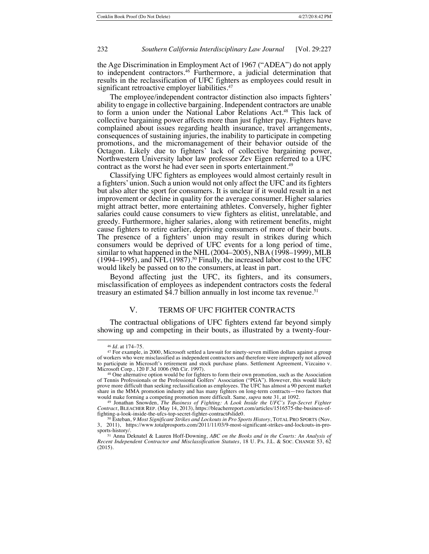the Age Discrimination in Employment Act of 1967 ("ADEA") do not apply to independent contractors.46 Furthermore, a judicial determination that results in the reclassification of UFC fighters as employees could result in significant retroactive employer liabilities.<sup>47</sup>

The employee/independent contractor distinction also impacts fighters' ability to engage in collective bargaining. Independent contractors are unable to form a union under the National Labor Relations Act.48 This lack of collective bargaining power affects more than just fighter pay. Fighters have complained about issues regarding health insurance, travel arrangements, consequences of sustaining injuries, the inability to participate in competing promotions, and the micromanagement of their behavior outside of the Octagon. Likely due to fighters' lack of collective bargaining power, Northwestern University labor law professor Zev Eigen referred to a UFC contract as the worst he had ever seen in sports entertainment.<sup>49</sup>

Classifying UFC fighters as employees would almost certainly result in a fighters' union. Such a union would not only affect the UFC and its fighters but also alter the sport for consumers. It is unclear if it would result in a net improvement or decline in quality for the average consumer. Higher salaries might attract better, more entertaining athletes. Conversely, higher fighter salaries could cause consumers to view fighters as elitist, unrelatable, and greedy. Furthermore, higher salaries, along with retirement benefits, might cause fighters to retire earlier, depriving consumers of more of their bouts. The presence of a fighters' union may result in strikes during which consumers would be deprived of UFC events for a long period of time, similar to what happened in the NHL (2004–2005), NBA (1998–1999), MLB  $(1994–1995)$ , and NFL  $(1987)$ .<sup>50</sup> Finally, the increased labor cost to the UFC would likely be passed on to the consumers, at least in part.

Beyond affecting just the UFC, its fighters, and its consumers, misclassification of employees as independent contractors costs the federal treasury an estimated \$4.7 billion annually in lost income tax revenue.<sup>51</sup>

## V. TERMS OF UFC FIGHTER CONTRACTS

The contractual obligations of UFC fighters extend far beyond simply showing up and competing in their bouts, as illustrated by a twenty-four-

<sup>46</sup> *Id.* at 174–75.

<sup>47</sup> For example, in 2000, Microsoft settled a lawsuit for ninety-seven million dollars against a group of workers who were misclassified as independent contractors and therefore were improperly not allowed to participate in Microsoft's retirement and stock purchase plans. Settlement Agreement, Vizcaino v. Microsoft Corp., 120 F.3d 1006 (9th Cir. 1997).

<sup>&</sup>lt;sup>48</sup> One alternative option would be for fighters to form their own promotion, such as the Association of Tennis Professionals or the Professional Golfers' Association ("PGA"). However, this would likely prove more difficult than seeking reclassification as employees. The UFC has almost a 90 percent market share in the MMA promotion industry and has many fighters on long-term contracts—two factors that would make forming a competing promotion more difficult. Same, *supra* note 31, at 1092.

<sup>49</sup> Jonathan Snowden, *The Business of Fighting: A Look Inside the UFC's Top-Secret Fighter Contract*, BLEACHER REP. (May 14, 2013), https://bleacherreport.com/articles/1516575-the-business-offighting-a-look-inside-the-ufcs-top-secret-fighter-contract#slide0.

<sup>50</sup> Esteban, *9 Most Significant Strikes and Lockouts in Pro Sports History*, TOTAL PRO SPORTS (Nov. 3, 2011), https://www.totalprosports.com/2011/11/03/9-most-significant-strikes-and-lockouts-in-prosports-history/.

<sup>51</sup> Anna Deknatel & Lauren Hoff-Downing, *ABC on the Books and in the Courts: An Analysis of Recent Independent Contractor and Misclassification Statutes*, 18 U. PA. J.L. & SOC. CHANGE 53, 62 (2015).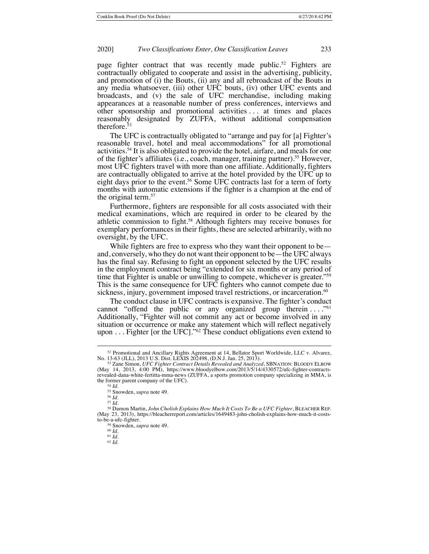page fighter contract that was recently made public.<sup>52</sup> Fighters are contractually obligated to cooperate and assist in the advertising, publicity, and promotion of (i) the Bouts, (ii) any and all rebroadcast of the Bouts in any media whatsoever, (iii) other UFC bouts, (iv) other UFC events and broadcasts, and (v) the sale of UFC merchandise, including making appearances at a reasonable number of press conferences, interviews and other sponsorship and promotional activities . . . at times and places reasonably designated by ZUFFA, without additional compensation therefore.<sup>53</sup>

The UFC is contractually obligated to "arrange and pay for [a] Fighter's reasonable travel, hotel and meal accommodations" for all promotional activities.54 It is also obligated to provide the hotel, airfare, and meals for one of the fighter's affiliates (i.e., coach, manager, training partner).<sup>55</sup> However, most UFC fighters travel with more than one affiliate. Additionally, fighters are contractually obligated to arrive at the hotel provided by the UFC up to eight days prior to the event.<sup>56</sup> Some UFC contracts last for a term of forty months with automatic extensions if the fighter is a champion at the end of the original term.<sup>57</sup>

Furthermore, fighters are responsible for all costs associated with their medical examinations, which are required in order to be cleared by the athletic commission to fight.58 Although fighters may receive bonuses for exemplary performances in their fights, these are selected arbitrarily, with no oversight, by the UFC.

While fighters are free to express who they want their opponent to be and, conversely, who they do not want their opponent to be—the UFC always has the final say. Refusing to fight an opponent selected by the UFC results in the employment contract being "extended for six months or any period of time that Fighter is unable or unwilling to compete, whichever is greater."59 This is the same consequence for UFC fighters who cannot compete due to sickness, injury, government imposed travel restrictions, or incarceration.<sup>60</sup>

The conduct clause in UFC contracts is expansive. The fighter's conduct cannot "offend the public or any organized group therein ...."<sup>61</sup> Additionally, "Fighter will not commit any act or become involved in any situation or occurrence or make any statement which will reflect negatively upon  $\dots$  Fighter [or the UFC]."<sup>62</sup> These conduct obligations even extend to

<sup>&</sup>lt;sup>52</sup> Promotional and Ancillary Rights Agreement at 14, Bellator Sport Worldwide, LLC v. Alvarez, No. 13-63 (JLL), 2013 U.S. Dist. LEXIS 202498, (D.N.J. Jan. 25, 2013).

<sup>53</sup> Zane Simon, *UFC Fighter Contract Details Revealed and Analyzed*, SBNATION: BLOODY ELBOW (May 14, 2013, 4:00 PM), https://www.bloodyelbow.com/2013/5/14/4330572/ufc-fighter-contractsrevealed-dana-white-fertitta-mma-news (ZUFFA, a sports promotion company specializing in MMA, is the former parent company of the UFC). <sup>54</sup> *Id.*

<sup>55</sup> Snowden, *supra* note 49.

<sup>56</sup> *Id.*

<sup>57</sup> *Id.*

<sup>58</sup> Damon Martin, *John Cholish Explains How Much It Costs To Be a UFC Fighter*, BLEACHER REP. (May 23, 2013), https://bleacherreport.com/articles/1649483-john-cholish-explains-how-much-it-coststo-be-a-ufc-fighter.

<sup>59</sup> Snowden, *supra* note 49.

<sup>60</sup> *Id.*

<sup>61</sup> *Id.*

<sup>62</sup> *Id.*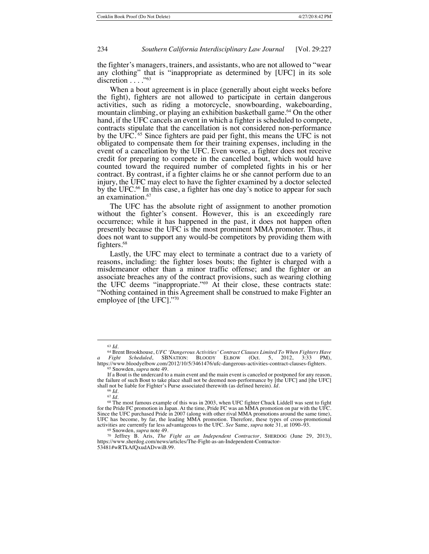the fighter's managers, trainers, and assistants, who are not allowed to "wear any clothing" that is "inappropriate as determined by [UFC] in its sole discretion . . . . "<sup>63</sup>

When a bout agreement is in place (generally about eight weeks before the fight), fighters are not allowed to participate in certain dangerous activities, such as riding a motorcycle, snowboarding, wakeboarding, mountain climbing, or playing an exhibition basketball game.<sup>64</sup> On the other hand, if the UFC cancels an event in which a fighter is scheduled to compete, contracts stipulate that the cancellation is not considered non-performance by the UFC. <sup>65</sup> Since fighters are paid per fight, this means the UFC is not obligated to compensate them for their training expenses, including in the event of a cancellation by the UFC. Even worse, a fighter does not receive credit for preparing to compete in the cancelled bout, which would have counted toward the required number of completed fights in his or her contract. By contrast, if a fighter claims he or she cannot perform due to an injury, the UFC may elect to have the fighter examined by a doctor selected by the UFC.<sup>66</sup> In this case, a fighter has one day's notice to appear for such an examination.<sup>67</sup>

The UFC has the absolute right of assignment to another promotion without the fighter's consent. However, this is an exceedingly rare occurrence; while it has happened in the past, it does not happen often presently because the UFC is the most prominent MMA promoter. Thus, it does not want to support any would-be competitors by providing them with fighters.<sup>68</sup>

Lastly, the UFC may elect to terminate a contract due to a variety of reasons, including: the fighter loses bouts; the fighter is charged with a misdemeanor other than a minor traffic offense; and the fighter or an associate breaches any of the contract provisions, such as wearing clothing the UFC deems "inappropriate."69 At their close, these contracts state: "Nothing contained in this Agreement shall be construed to make Fighter an employee of [the UFC]."70

<sup>63</sup> *Id.*

<sup>64</sup> Brent Brookhouse, *UFC 'Dangerous Activities' Contract Clauses Limited To When Fighters Have a Fight Scheduled*, SBNATION: BLOODY ELBOW (Oct. 5, 2012, 3:33 PM), https://www.bloodyelbow.com/2012/10/5/3461476/ufc-dangerous-activities-contract-clauses-fighters.<br><sup>65</sup> Snowden, *supra* note 49.

If a Bout is the undercard to a main event and the main event is canceled or postponed for any reason, the failure of such Bout to take place shall not be deemed non-performance by [the UFC] and [the UFC] shall not be liable for Fighter's Purse associated therewith (as defined herein). *Id*.

<sup>66</sup> *Id*.

<sup>67</sup> *Id.* <sup>68</sup> The most famous example of this was in 2003, when UFC fighter Chuck Liddell was sent to fight for the Pride FC promotion in Japan. At the time, Pride FC was an MMA promotion on par with the UFC. Since the UFC purchased Pride in 2007 (along with other rival MMA promotions around the same time), UFC has become, by far, the leading MMA promotion. Therefore, these types of cross-promotional activities are currently far less advantageous to the UFC. *See* Same, *supra* note 31, at 1090–93.

<sup>69</sup> Snowden, *supra* note 49.

<sup>70</sup> Jeffrey B. Aris, *The Fight as an Independent Contractor*, SHERDOG (June 29, 2013), https://www.sherdog.com/news/articles/The-Fight-as-an-Independent-Contractor-53481#wRTkAfQxudADvwiB.99.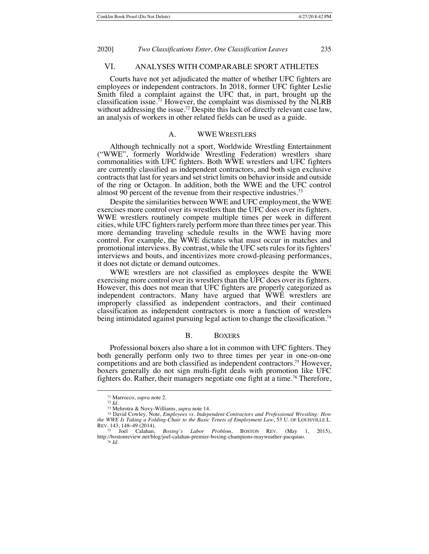## VI. ANALYSES WITH COMPARABLE SPORT ATHLETES

Courts have not yet adjudicated the matter of whether UFC fighters are employees or independent contractors. In 2018, former UFC fighter Leslie Smith filed a complaint against the UFC that, in part, brought up the classification issue.<sup>71</sup> However, the complaint was dismissed by the  $\hat{N}LRB$ without addressing the issue.<sup>72</sup> Despite this lack of directly relevant case law, an analysis of workers in other related fields can be used as a guide.

## A. WWE WRESTLERS

Although technically not a sport, Worldwide Wrestling Entertainment ("WWE", formerly Worldwide Wrestling Federation) wrestlers share commonalities with UFC fighters. Both WWE wrestlers and UFC fighters are currently classified as independent contractors, and both sign exclusive contracts that last for years and set strict limits on behavior inside and outside of the ring or Octagon. In addition, both the WWE and the UFC control almost 90 percent of the revenue from their respective industries.73

Despite the similarities between WWE and UFC employment, the WWE exercises more control over its wrestlers than the UFC does over its fighters. WWE wrestlers routinely compete multiple times per week in different cities, while UFC fighters rarely perform more than three times per year. This more demanding traveling schedule results in the WWE having more control. For example, the WWE dictates what must occur in matches and promotional interviews. By contrast, while the UFC sets rules for its fighters' interviews and bouts, and incentivizes more crowd-pleasing performances, it does not dictate or demand outcomes.

WWE wrestlers are not classified as employees despite the WWE exercising more control over its wrestlers than the UFC does over its fighters. However, this does not mean that UFC fighters are properly categorized as independent contractors. Many have argued that WWE wrestlers are improperly classified as independent contractors, and their continued classification as independent contractors is more a function of wrestlers being intimidated against pursuing legal action to change the classification.<sup>74</sup>

#### B. BOXERS

Professional boxers also share a lot in common with UFC fighters. They both generally perform only two to three times per year in one-on-one competitions and are both classified as independent contractors.75 However, boxers generally do not sign multi-fight deals with promotion like UFC fighters do. Rather, their managers negotiate one fight at a time.<sup>76</sup> Therefore,

<sup>71</sup> Marrocco, *supra* note 2.

<sup>72</sup> *Id.*

<sup>73</sup> Mehrotra & Novy-Williams, *supra* note 14.

<sup>74</sup> David Cowley, Note, *Employees vs. Independent Contractors and Professional Wrestling: How the WWE Is Taking a Folding-Chair to the Basic Tenets of Employment Law*, 53 U. OF LOUISVILLE L. REV. 143, 148–49 (2014).<br>
<sup>75</sup> Joel Calahan,

<sup>75</sup> Joel Calahan, *Boxing's Labor Problem*, BOSTON REV. (May 1, 2015), http://bostonreview.net/blog/joel-calahan-premier-boxing-champions-mayweather-pacquiao. <sup>76</sup> *Id.*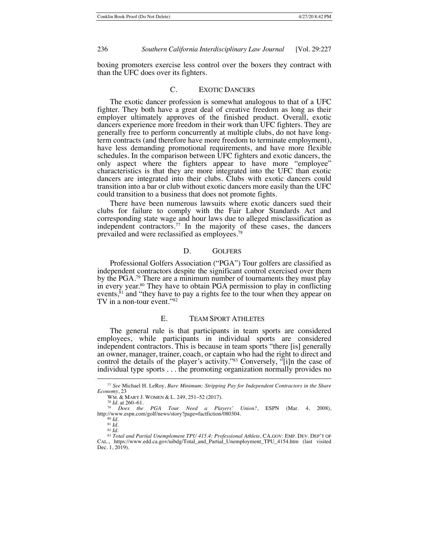boxing promoters exercise less control over the boxers they contract with than the UFC does over its fighters.

## C. EXOTIC DANCERS

The exotic dancer profession is somewhat analogous to that of a UFC fighter. They both have a great deal of creative freedom as long as their employer ultimately approves of the finished product. Overall, exotic dancers experience more freedom in their work than UFC fighters. They are generally free to perform concurrently at multiple clubs, do not have long- term contracts (and therefore have more freedom to terminate employment), have less demanding promotional requirements, and have more flexible schedules. In the comparison between UFC fighters and exotic dancers, the only aspect where the fighters appear to have more "employee" characteristics is that they are more integrated into the UFC than exotic dancers are integrated into their clubs. Clubs with exotic dancers could transition into a bar or club without exotic dancers more easily than the UFC could transition to a business that does not promote fights.

There have been numerous lawsuits where exotic dancers sued their clubs for failure to comply with the Fair Labor Standards Act and corresponding state wage and hour laws due to alleged misclassification as independent contractors.77 In the majority of these cases, the dancers prevailed and were reclassified as employees.78

#### D. GOLFERS

Professional Golfers Association ("PGA") Tour golfers are classified as independent contractors despite the significant control exercised over them by the PGA.79 There are a minimum number of tournaments they must play in every year.<sup>80</sup> They have to obtain PGA permission to play in conflicting events, ${}^{81}$  and "they have to pay a rights fee to the tour when they appear on TV in a non-tour event."82

## E. TEAM SPORT ATHLETES

The general rule is that participants in team sports are considered employees, while participants in individual sports are considered independent contractors. This is because in team sports "there [is] generally an owner, manager, trainer, coach, or captain who had the right to direct and control the details of the player's activity."83 Conversely, "[i]n the case of individual type sports . . . the promoting organization normally provides no

<sup>77</sup> *See* Michael H. LeRoy, *Bare Minimum: Stripping Pay for Independent Contractors in the Share Economy*, 23

WM. & MARY J. WOMEN & L. 249, 251–52 (2017).

<sup>78</sup> *Id.* at 260–61. <sup>79</sup> *Does the PGA Tour Need a Players' Union?*, ESPN (Mar. 4, 2008), http://www.espn.com/golf/news/story?page=factfiction/080304.

<sup>80</sup> *Id.*

<sup>81</sup> *Id.*

<sup>82</sup> *Id.*

<sup>83</sup> *Total and Partial Unemploment TPU 415.4: Professional Athlete*, CA.GOV: EMP. DEV. DEP'T OF CAL., https://www.edd.ca.gov/uibdg/Total\_and\_Partial\_Unemployment\_TPU\_4154.htm (last visited Dec. 1, 2019).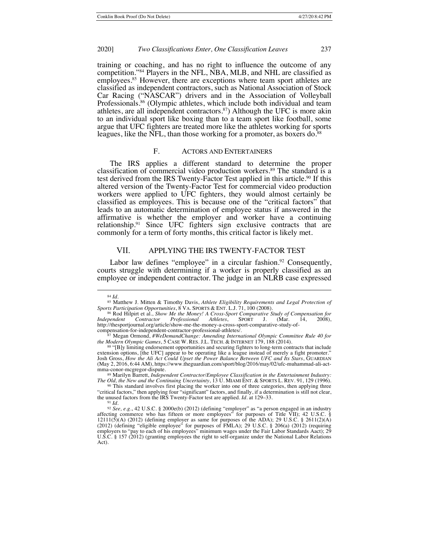training or coaching, and has no right to influence the outcome of any competition."84 Players in the NFL, NBA, MLB, and NHL are classified as employees.<sup>85</sup> However, there are exceptions where team sport athletes are classified as independent contractors, such as National Association of Stock Car Racing ("NASCAR") drivers and in the Association of Volleyball Professionals.<sup>86</sup> (Olympic athletes, which include both individual and team athletes, are all independent contractors.87) Although the UFC is more akin to an individual sport like boxing than to a team sport like football, some argue that UFC fighters are treated more like the athletes working for sports leagues, like the NFL, than those working for a promoter, as boxers do.<sup>88</sup>

## F. ACTORS AND ENTERTAINERS

The IRS applies a different standard to determine the proper classification of commercial video production workers.<sup>89</sup> The standard is a test derived from the IRS Twenty-Factor Test applied in this article.<sup>90</sup> If this altered version of the Twenty-Factor Test for commercial video production workers were applied to UFC fighters, they would almost certainly be classified as employees. This is because one of the "critical factors" that leads to an automatic determination of employee status if answered in the affirmative is whether the employer and worker have a continuing relationship.<sup>91</sup> Since UFC fighters sign exclusive contracts that are commonly for a term of forty months, this critical factor is likely met.

# VII. APPLYING THE IRS TWENTY-FACTOR TEST

Labor law defines "employee" in a circular fashion.<sup>92</sup> Consequently, courts struggle with determining if a worker is properly classified as an employee or independent contractor. The judge in an NLRB case expressed

89 Marilyn Barrett, *Independent Contractor/Employee Classification in the Entertainment Industry: The Old, the New and the Continuing Uncertainty*, 13 U. MIAMI ENT. & SPORTS L. REV. 91, 129 (1996).

<sup>84</sup> *Id*.

<sup>85</sup> Matthew J. Mitten & Timothy Davis, *Athlete Eligibility Requirements and Legal Protection of*  Sports Participation Opportunities, 8 VA. SPORTS & ENT. L.J. 71, 100 (2008).

<sup>86</sup> Rod Hilpirt et al., *Show Me the Money! A Cross-Sport Comparative Study of Compensation for Independent Contractor Professional Athletes*, SPORT J. (Mar. 14, 14, 14, 2008), http://thesportjournal.org/article/show-me-the-money-a-cross-sport-comparative-study-ofcompensation-for-independent-contractor-professional-athletes/.

<sup>87</sup> Megan Ormond, *#WeDemandChange: Amending International Olympic Committee Rule 40 for the Modern Olympic Games*, 5 CASE W. RES. J.L. TECH. & INTERNET 179, 188 (2014).

<sup>88</sup> "[B]y limiting endorsement opportunities and securing fighters to long-term contracts that include extension options, [the UFC] appear to be operating like a league instead of merely a fight promoter." Josh Gross, *How the Ali Act Could Upset the Power Balance Between UFC and Its Stars*, GUARDIAN (May 2, 2016, 6:44 AM), https://www.theguardian.com/sport/blog/2016/may/02/ufc-muhammad-ali-act-

<sup>&</sup>lt;sup>90</sup> This standard involves first placing the worker into one of three categories, then applying three "critical factors," then applying four "significant" factors, and finally, if a determination is still not clear, the unused factors from the IRS Twenty-Factor test are applied. *Id.* at 129–33.

<sup>91</sup> *Id.*

<sup>&</sup>lt;sup>92</sup> See, e.g., 42 U.S.C. § 2000e(b) (2012) (defining "employer" as "a person engaged in an industry affecting commerce who has fifteen or more employees" for purposes of Title VII); 42 U.S.C. § 12111(5)(A) (2012) (defini (2012) (defining "eligible employee" for purposes of FMLA); 29 U.S.C. § 206(a) (2012) (requiring employers to "pay to each of his employees" minimum wages under the Fair Labor Standards Aact); 29 U.S.C. § 157 (2012) (granting employees the right to self-organize under the National Labor Relations Act).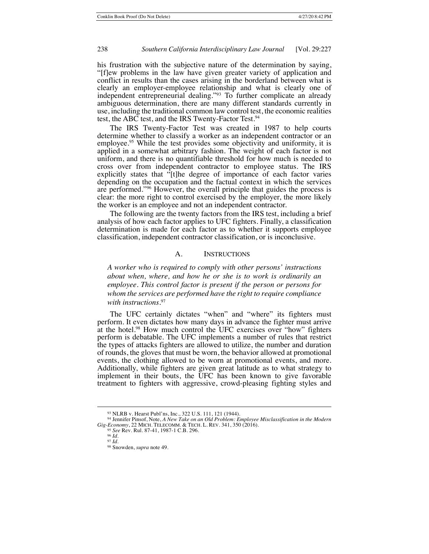his frustration with the subjective nature of the determination by saying, "[f]ew problems in the law have given greater variety of application and conflict in results than the cases arising in the borderland between what is clearly an employer-employee relationship and what is clearly one of independent entrepreneurial dealing."<sup>93</sup> To further complicate an already ambiguous determination, there are many different standards currently in use, including the traditional common law control test, the economic realities test, the ABC test, and the IRS Twenty-Factor Test.<sup>94</sup>

The IRS Twenty-Factor Test was created in 1987 to help courts determine whether to classify a worker as an independent contractor or an employee.<sup>95</sup> While the test provides some objectivity and uniformity, it is applied in a somewhat arbitrary fashion. The weight of each factor is not uniform, and there is no quantifiable threshold for how much is needed to cross over from independent contractor to employee status. The IRS explicitly states that "[t]he degree of importance of each factor varies depending on the occupation and the factual context in which the services are performed."96 However, the overall principle that guides the process is clear: the more right to control exercised by the employer, the more likely the worker is an employee and not an independent contractor.

The following are the twenty factors from the IRS test, including a brief analysis of how each factor applies to UFC fighters. Finally, a classification determination is made for each factor as to whether it supports employee classification, independent contractor classification, or is inconclusive.

## A. INSTRUCTIONS

*A worker who is required to comply with other persons' instructions about when, where, and how he or she is to work is ordinarily an employee. This control factor is present if the person or persons for whom the services are performed have the right to require compliance with instructions.*<sup>97</sup>

The UFC certainly dictates "when" and "where" its fighters must perform. It even dictates how many days in advance the fighter must arrive at the hotel.<sup>98</sup> How much control the UFC exercises over "how" fighters perform is debatable. The UFC implements a number of rules that restrict the types of attacks fighters are allowed to utilize, the number and duration of rounds, the gloves that must be worn, the behavior allowed at promotional events, the clothing allowed to be worn at promotional events, and more. Additionally, while fighters are given great latitude as to what strategy to implement in their bouts, the UFC has been known to give favorable treatment to fighters with aggressive, crowd-pleasing fighting styles and

<sup>93</sup> NLRB v. Hearst Publ'ns, Inc., 322 U.S. 111, 121 (1944).

<sup>94</sup> Jennifer Pinsof, Note, *A New Take on an Old Problem: Employee Misclassification in the Modern Gig-Economy*, 22 MICH. TELECOMM. & TECH. L. REV. 341, 350 (2016).

<sup>95</sup> *See* Rev. Rul. 87-41, 1987-1 C.B. 296.

<sup>96</sup> *Id.* <sup>97</sup> *Id.*

<sup>98</sup> Snowden, *supra* note 49.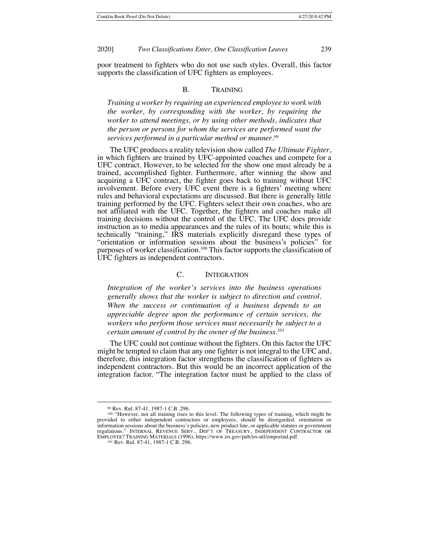poor treatment to fighters who do not use such styles. Overall, this factor supports the classification of UFC fighters as employees.

## B. TRAINING

*Training a worker by requiring an experienced employee to work with the worker, by corresponding with the worker, by requiring the worker to attend meetings, or by using other methods, indicates that the person or persons for whom the services are performed want the services performed in a particular method or manner.99*

The UFC produces a reality television show called *The Ultimate Fighter*, in which fighters are trained by UFC-appointed coaches and compete for a UFC contract. However, to be selected for the show one must already be a trained, accomplished fighter. Furthermore, after winning the show and acquiring a UFC contract, the fighter goes back to training without UFC involvement. Before every UFC event there is a fighters' meeting where rules and behavioral expectations are discussed. But there is generally little training performed by the UFC. Fighters select their own coaches, who are not affiliated with the UFC. Together, the fighters and coaches make all training decisions without the control of the UFC. The UFC does provide instruction as to media appearances and the rules of its bouts; while this is technically "training," IRS materials explicitly disregard these types of "orientation or information sessions about the business's policies" for purposes of worker classification.<sup>100</sup> This factor supports the classification of UFC fighters as independent contractors.

## C. INTEGRATION

*Integration of the worker's services into the business operations generally shows that the worker is subject to direction and control. When the success or continuation of a business depends to an appreciable degree upon the performance of certain services, the workers who perform those services must necessarily be subject to a certain amount of control by the owner of the business.101*

The UFC could not continue without the fighters. On this factor the UFC might be tempted to claim that any one fighter is not integral to the UFC and, therefore, this integration factor strengthens the classification of fighters as independent contractors. But this would be an incorrect application of the integration factor. "The integration factor must be applied to the class of

<sup>99</sup> Rev. Rul. 87-41, 1987-1 C.B. 296.

<sup>&</sup>lt;sup>100</sup> "However, not all training rises to this level. The following types of training, which might be provided to either independent contractors or employees, should be disregarded: orientation or information sessions about the business's policies, new product line, or applicable statutes or government regulations." INTERNAL REVENUE SERV., DEP'T OF TREASURY, INDEPENDENT CONTRACTOR OR EMPLOYEE? TRAINING MATERIALS (1996), https://www.irs.gov/pub/irs-utl/emporind.pdf.

<sup>101</sup> Rev. Rul. 87-41, 1987-1 C.B. 296.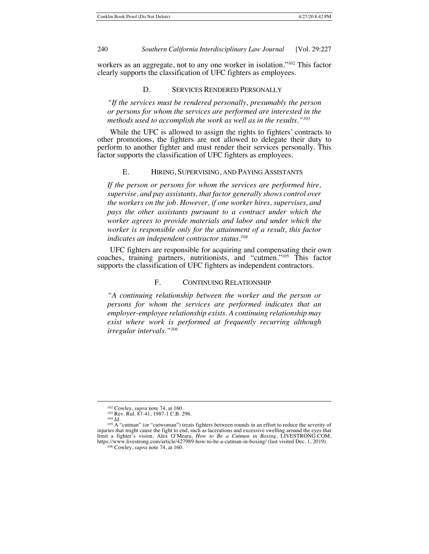workers as an aggregate, not to any one worker in isolation."102 This factor clearly supports the classification of UFC fighters as employees.

#### D. SERVICES RENDERED PERSONALLY

*"If the services must be rendered personally, presumably the person or persons for whom the services are performed are interested in the methods used to accomplish the work as well as in the results."103*

While the UFC is allowed to assign the rights to fighters' contracts to other promotions, the fighters are not allowed to delegate their duty to perform to another fighter and must render their services personally. This factor supports the classification of UFC fighters as employees.

## E. HIRING, SUPERVISING, AND PAYING ASSISTANTS

*If the person or persons for whom the services are performed hire, supervise, and pay assistants, that factor generally shows control over the workers on the job. However, if one worker hires, supervises, and pays the other assistants pursuant to a contract under which the worker agrees to provide materials and labor and under which the worker is responsible only for the attainment of a result, this factor indicates an independent contractor status.104*

UFC fighters are responsible for acquiring and compensating their own coaches, training partners, nutritionists, and "cutmen."105 This factor supports the classification of UFC fighters as independent contractors.

# F. CONTINUING RELATIONSHIP

*"A continuing relationship between the worker and the person or persons for whom the services are performed indicates that an employer-employee relationship exists. A continuing relationship may exist where work is performed at frequently recurring although irregular intervals."106*

<sup>102</sup> Cowley, *supra* note 74, at 160.

<sup>103</sup> Rev. Rul. 87-41, 1987-1 C.B. 296.

<sup>104</sup> *Id.*

<sup>105</sup> A "cutman" (or "cutwoman") treats fighters between rounds in an effort to reduce the severity of injuries that might cause the fight to end, such as lacerations and excessive swelling around the eyes that limit a fighter's vision. Alex O'Meara, *How to Be a Cutman in Boxing*, LIVESTRONG.COM, https://www.livestrong.com/article/427989-how-to-be-a-cutman-in-boxing/ (last visited Dec. 1, 2019).

<sup>106</sup> Cowley, *supra* note 74, at 160.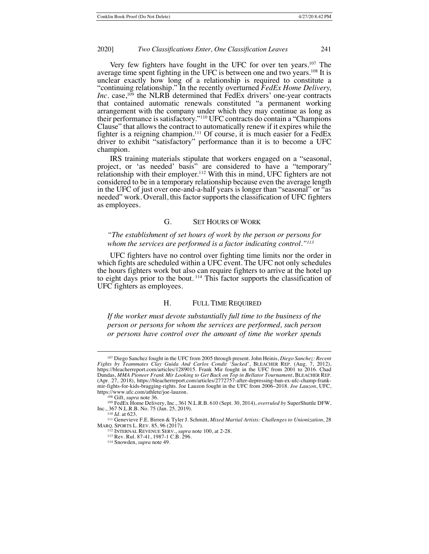Very few fighters have fought in the UFC for over ten years.107 The average time spent fighting in the UFC is between one and two years.<sup>108</sup> It is unclear exactly how long of a relationship is required to constitute a "continuing relationship." In the recently overturned *FedEx Home Delivery, Inc.* case,<sup>109</sup> the NLRB determined that FedEx drivers' one-year contracts that contained automatic renewals constituted "a permanent working arrangement with the company under which they may continue as long as their performance is satisfactory."110 UFC contracts do contain a "Champions Clause" that allows the contract to automatically renew if it expires while the fighter is a reigning champion.<sup>111</sup> Of course, it is much easier for a FedEx driver to exhibit "satisfactory" performance than it is to become a UFC champion.

IRS training materials stipulate that workers engaged on a "seasonal, project, or 'as needed' basis" are considered to have a "temporary" relationship with their employer.<sup>112</sup> With this in mind, UFC fighters are not considered to be in a temporary relationship because even the average length in the UFC of just over one-and-a-half years is longer than "seasonal" or "as needed" work. Overall, this factor supports the classification of UFC fighters as employees.

#### G. SET HOURS OF WORK

# *"The establishment of set hours of work by the person or persons for whom the services are performed is a factor indicating control."113*

UFC fighters have no control over fighting time limits nor the order in which fights are scheduled within a UFC event. The UFC not only schedules the hours fighters work but also can require fighters to arrive at the hotel up to eight days prior to the bout. <sup>114</sup> This factor supports the classification of UFC fighters as employees.

## H. FULL TIME REQUIRED

*If the worker must devote substantially full time to the business of the person or persons for whom the services are performed, such person or persons have control over the amount of time the worker spends* 

<sup>107</sup> Diego Sanchez fought in the UFC from 2005 through present. John Heinis, *Diego Sanchez: Recent Fights by Teammates Clay Guida And Carlos Condit 'Sucked'*, BLEACHER REP. (Aug. 7, 2012), https://bleacherreport.com/articles/1289015. Frank Mir fought in the UFC from 2001 to 2016. Chad Dundas, *MMA Pioneer Frank Mir Looking to Get Back on Top in Bellator Tournament*, BLEACHER REP. (Apr. 27, 2018), https://bleacherreport.com/articles/2772757-after-depressing-ban-ex-ufc-champ-frankmir-fights-for-kids-bragging-rights. Joe Lauzon fought in the UFC from 2006–2018. *Joe Lauzon*, UFC, https://www.ufc.com/athlete/joe-lauzon.

<sup>108</sup> Gift, *supra* note 36.

<sup>109</sup> FedEx Home Delivery, Inc., 361 N.L.R.B. 610 (Sept. 30, 2014), *overruled by* SuperShuttle DFW, Inc., 367 N.L.R.B. No. 75 (Jan. 25, 2019).

<sup>110</sup> *Id.* at 623.

<sup>111</sup> Genevieve F.E. Birren & Tyler J. Schmitt, *Mixed Martial Artists: Challenges to Unionization*, 28 MARQ. SPORTS L. REV. 85, 96 (2017).

<sup>112</sup> INTERNAL REVENUE SERV., *supra* note 100, at 2-28.

<sup>113</sup> Rev. Rul. 87-41, 1987-1 C.B. 296. 114 Snowden, *supra* note 49.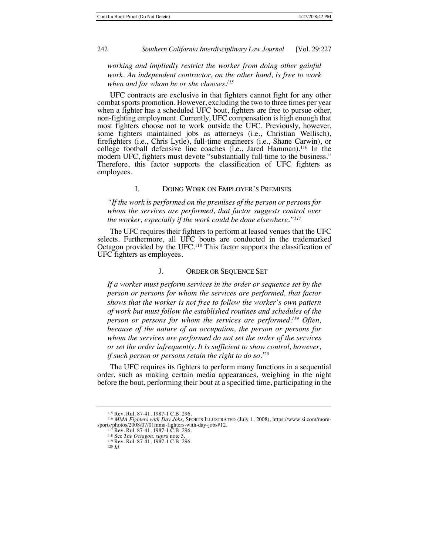*working and impliedly restrict the worker from doing other gainful work. An independent contractor, on the other hand, is free to work when and for whom he or she chooses.115*

UFC contracts are exclusive in that fighters cannot fight for any other combat sports promotion. However, excluding the two to three times per year when a fighter has a scheduled UFC bout, fighters are free to pursue other, non-fighting employment. Currently, UFC compensation is high enough that most fighters choose not to work outside the UFC. Previously, however, some fighters maintained jobs as attorneys (i.e., Christian Wellisch), firefighters (i.e., Chris Lytle), full-time engineers (i.e., Shane Carwin), or college football defensive line coaches (i.e., Jared Hamman).116 In the modern UFC, fighters must devote "substantially full time to the business." Therefore, this factor supports the classification of UFC fighters as employees.

# I. DOING WORK ON EMPLOYER'S PREMISES

*"If the work is performed on the premises of the person or persons for whom the services are performed, that factor suggests control over the worker, especially if the work could be done elsewhere."117*

The UFC requires their fighters to perform at leased venues that the UFC selects. Furthermore, all UFC bouts are conducted in the trademarked Octagon provided by the UFC.118 This factor supports the classification of UFC fighters as employees.

## J. ORDER OR SEQUENCE SET

*If a worker must perform services in the order or sequence set by the person or persons for whom the services are performed, that factor shows that the worker is not free to follow the worker's own pattern of work but must follow the established routines and schedules of the person or persons for whom the services are performed.119 Often, because of the nature of an occupation, the person or persons for whom the services are performed do not set the order of the services or set the order infrequently. It is sufficient to show control, however, if such person or persons retain the right to do so.120*

The UFC requires its fighters to perform many functions in a sequential order, such as making certain media appearances, weighing in the night before the bout, performing their bout at a specified time, participating in the

<sup>115</sup> Rev. Rul. 87-41, 1987-1 C.B. 296.

<sup>116</sup> *MMA Fighters with Day Jobs*, SPORTS ILLUSTRATED (July 1, 2008), https://www.si.com/moresports/photos/2008/07/01mma-fighters-with-day-jobs#12.<br><sup>117</sup> Rev. Rul. 87-41, 1987-1 C.B. 296.

<sup>&</sup>lt;sup>118</sup> See *The Octagon*, *supra* note 3. <sup>119</sup> Rev. Rul. 87-41, 1987-1 C.B. 296.

<sup>120</sup> *Id.*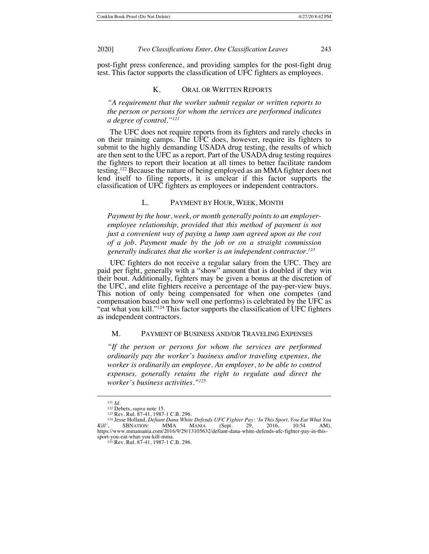post-fight press conference, and providing samples for the post-fight drug test. This factor supports the classification of UFC fighters as employees.

## K. ORAL OR WRITTEN REPORTS

*"A requirement that the worker submit regular or written reports to the person or persons for whom the services are performed indicates a degree of control."121*

The UFC does not require reports from its fighters and rarely checks in on their training camps. The UFC does, however, require its fighters to submit to the highly demanding USADA drug testing, the results of which are then sent to the UFC as a report. Part of the USADA drug testing requires the fighters to report their location at all times to better facilitate random testing.122 Because the nature of being employed as an MMA fighter does not lend itself to filing reports, it is unclear if this factor supports the classification of UFC fighters as employees or independent contractors.

## L. PAYMENT BY HOUR, WEEK, MONTH

*Payment by the hour, week, or month generally points to an employeremployee relationship, provided that this method of payment is not just a convenient way of paying a lump sum agreed upon as the cost of a job. Payment made by the job or on a straight commission generally indicates that the worker is an independent contractor.123*

UFC fighters do not receive a regular salary from the UFC. They are paid per fight, generally with a "show" amount that is doubled if they win their bout. Additionally, fighters may be given a bonus at the discretion of the UFC, and elite fighters receive a percentage of the pay-per-view buys. This notion of only being compensated for when one competes (and compensation based on how well one performs) is celebrated by the UFC as "eat what you kill."<sup>124</sup> This factor supports the classification of UFC fighters as independent contractors.

#### M. PAYMENT OF BUSINESS AND/OR TRAVELING EXPENSES

*"If the person or persons for whom the services are performed ordinarily pay the worker's business and/or traveling expenses, the worker is ordinarily an employee. An employer, to be able to control expenses, generally retains the right to regulate and direct the worker's business activities."125*

<sup>121</sup> *Id.*

<sup>&</sup>lt;sup>122</sup> Debets, *supra* note 15.<br><sup>123</sup> Rev. Rul. 87-41, 1987-1 C.B. 296.

<sup>&</sup>lt;sup>124</sup> Jesse Holland, *Defiant Dana White Defends UFC Fighter Pay: 'In This Sport, You Eat What You Kill'*, SBNATION: MMA MANIA (Sept. 29, 2016, 10:54 AM), https://www.mmamania.com/2016/9/29/13105632/defiant-dana-white-defends-ufc-fighter-pay-in-thissport-you-eat-what-you-kill-mma.

<sup>125</sup> Rev. Rul. 87-41, 1987-1 C.B. 296.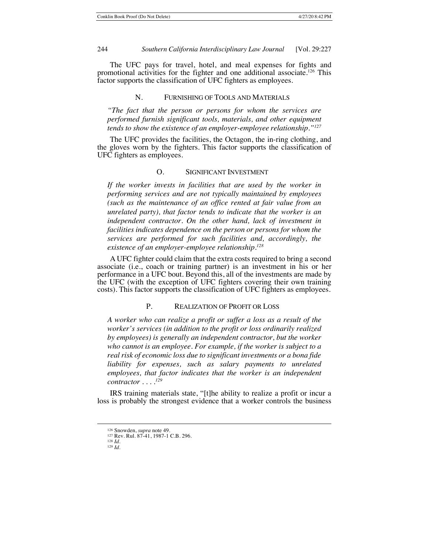The UFC pays for travel, hotel, and meal expenses for fights and promotional activities for the fighter and one additional associate.<sup>126</sup> This factor supports the classification of UFC fighters as employees.

#### N. FURNISHING OF TOOLS AND MATERIALS

*"The fact that the person or persons for whom the services are performed furnish significant tools, materials, and other equipment tends to show the existence of an employer-employee relationship."127*

The UFC provides the facilities, the Octagon, the in-ring clothing, and the gloves worn by the fighters. This factor supports the classification of UFC fighters as employees.

## O. SIGNIFICANT INVESTMENT

*If the worker invests in facilities that are used by the worker in performing services and are not typically maintained by employees (such as the maintenance of an office rented at fair value from an unrelated party), that factor tends to indicate that the worker is an independent contractor. On the other hand, lack of investment in facilities indicates dependence on the person or persons for whom the services are performed for such facilities and, accordingly, the existence of an employer-employee relationship.128*

A UFC fighter could claim that the extra costs required to bring a second associate (i.e., coach or training partner) is an investment in his or her performance in a UFC bout. Beyond this, all of the investments are made by the UFC (with the exception of UFC fighters covering their own training costs). This factor supports the classification of UFC fighters as employees.

## P. REALIZATION OF PROFIT OR LOSS

*A worker who can realize a profit or suffer a loss as a result of the worker's services (in addition to the profit or loss ordinarily realized by employees) is generally an independent contractor, but the worker who cannot is an employee. For example, if the worker is subject to a real risk of economic loss due to significant investments or a bona fide liability for expenses, such as salary payments to unrelated employees, that factor indicates that the worker is an independent contractor . . . . 129*

IRS training materials state, "[t]he ability to realize a profit or incur a loss is probably the strongest evidence that a worker controls the business

<sup>126</sup> Snowden, *supra* note 49.

<sup>127</sup> Rev. Rul. 87-41, 1987-1 C.B. 296. <sup>128</sup> *Id.*

<sup>129</sup> *Id.*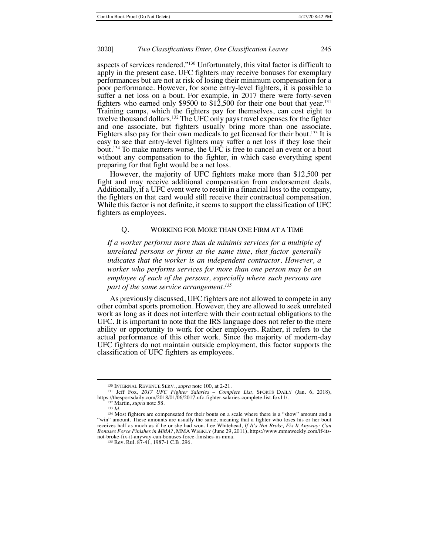aspects of services rendered."130 Unfortunately, this vital factor is difficult to apply in the present case. UFC fighters may receive bonuses for exemplary performances but are not at risk of losing their minimum compensation for a poor performance. However, for some entry-level fighters, it is possible to suffer a net loss on a bout. For example, in 2017 there were forty-seven fighters who earned only \$9500 to  $$12,500$  for their one bout that year.<sup>131</sup> Training camps, which the fighters pay for themselves, can cost eight to twelve thousand dollars.132 The UFC only pays travel expenses for the fighter and one associate, but fighters usually bring more than one associate. Fighters also pay for their own medicals to get licensed for their bout.<sup>133</sup> It is easy to see that entry-level fighters may suffer a net loss if they lose their bout.134 To make matters worse, the UFC is free to cancel an event or a bout without any compensation to the fighter, in which case everything spent preparing for that fight would be a net loss.

However, the majority of UFC fighters make more than \$12,500 per fight and may receive additional compensation from endorsement deals. Additionally, if a UFC event were to result in a financial loss to the company, the fighters on that card would still receive their contractual compensation. While this factor is not definite, it seems to support the classification of UFC fighters as employees.

## Q. WORKING FOR MORE THAN ONE FIRM AT A TIME

*If a worker performs more than de minimis services for a multiple of unrelated persons or firms at the same time, that factor generally indicates that the worker is an independent contractor. However, a worker who performs services for more than one person may be an employee of each of the persons, especially where such persons are part of the same service arrangement.135*

As previously discussed, UFC fighters are not allowed to compete in any other combat sports promotion. However, they are allowed to seek unrelated work as long as it does not interfere with their contractual obligations to the UFC. It is important to note that the IRS language does not refer to the mere ability or opportunity to work for other employers. Rather, it refers to the actual performance of this other work. Since the majority of modern-day UFC fighters do not maintain outside employment, this factor supports the classification of UFC fighters as employees.

<sup>130</sup> INTERNAL REVENUE SERV., *supra* note 100, at 2-21*.*

<sup>&</sup>lt;sup>131</sup> Jeff Fox, *2017 UFC Fighter Salaries – Complete List*, SPORTS DAILY (Jan. 6, 2018), https://thesportsdaily.com/2018/01/06/2017-ufc-fighter-salaries-complete-list-fox11/.

<sup>132</sup> Martin, *supra* note 58.

<sup>133</sup> *Id.*

<sup>&</sup>lt;sup>134</sup> Most fighters are compensated for their bouts on a scale where there is a "show" amount and a "win" amount. These amounts are usually the same, meaning that a fighter who loses his or her bout receives half as much as if he or she had won. Lee Whitehead, *If It's Not Broke, Fix It Anyway: Can Bonuses Force Finishes in MMA?*, MMA WEEKLY (June 29, 2011), https://www.mmaweekly.com/if-itsnot-broke-fix-it-anyway-can-bonuses-force-finishes-in-mma.

<sup>135</sup> Rev. Rul. 87-41, 1987-1 C.B. 296.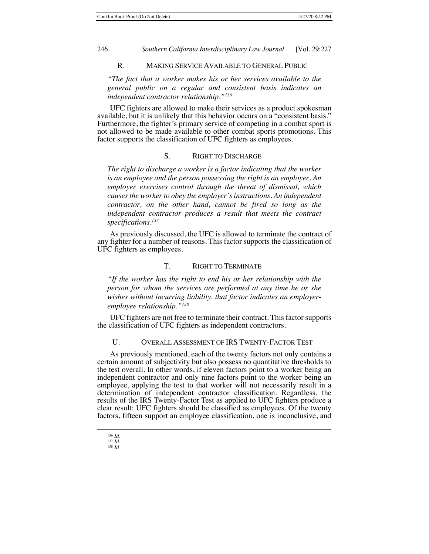# R. MAKING SERVICE AVAILABLE TO GENERAL PUBLIC

*"The fact that a worker makes his or her services available to the general public on a regular and consistent basis indicates an independent contractor relationship."136*

UFC fighters are allowed to make their services as a product spokesman available, but it is unlikely that this behavior occurs on a "consistent basis." Furthermore, the fighter's primary service of competing in a combat sport is not allowed to be made available to other combat sports promotions. This factor supports the classification of UFC fighters as employees.

## S. RIGHT TO DISCHARGE

*The right to discharge a worker is a factor indicating that the worker is an employee and the person possessing the right is an employer. An employer exercises control through the threat of dismissal, which causes the worker to obey the employer's instructions. An independent contractor, on the other hand, cannot be fired so long as the independent contractor produces a result that meets the contract specifications.137*

As previously discussed, the UFC is allowed to terminate the contract of any fighter for a number of reasons. This factor supports the classification of UFC fighters as employees.

## T. RIGHT TO TERMINATE

*"If the worker has the right to end his or her relationship with the person for whom the services are performed at any time he or she wishes without incurring liability, that factor indicates an employeremployee relationship."138*

UFC fighters are not free to terminate their contract. This factor supports the classification of UFC fighters as independent contractors.

## U. OVERALL ASSESSMENT OF IRS TWENTY-FACTOR TEST

As previously mentioned, each of the twenty factors not only contains a certain amount of subjectivity but also possess no quantitative thresholds to the test overall. In other words, if eleven factors point to a worker being an independent contractor and only nine factors point to the worker being an employee, applying the test to that worker will not necessarily result in a determination of independent contractor classification. Regardless, the results of the IRS Twenty-Factor Test as applied to UFC fighters produce a clear result: UFC fighters should be classified as employees. Of the twenty factors, fifteen support an employee classification, one is inconclusive, and

<sup>136</sup> *Id.* <sup>137</sup> *Id.*

<sup>138</sup> *Id.*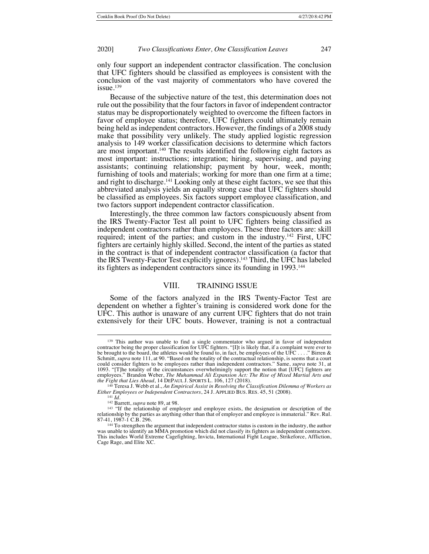only four support an independent contractor classification. The conclusion that UFC fighters should be classified as employees is consistent with the conclusion of the vast majority of commentators who have covered the issue.<sup>139</sup>

Because of the subjective nature of the test, this determination does not rule out the possibility that the four factors in favor of independent contractor status may be disproportionately weighted to overcome the fifteen factors in favor of employee status; therefore, UFC fighters could ultimately remain being held as independent contractors. However, the findings of a 2008 study make that possibility very unlikely. The study applied logistic regression analysis to 149 worker classification decisions to determine which factors are most important.140 The results identified the following eight factors as most important: instructions; integration; hiring, supervising, and paying assistants; continuing relationship; payment by hour, week, month; furnishing of tools and materials; working for more than one firm at a time; and right to discharge.<sup>141</sup> Looking only at these eight factors, we see that this abbreviated analysis yields an equally strong case that UFC fighters should be classified as employees. Six factors support employee classification, and two factors support independent contractor classification.

Interestingly, the three common law factors conspicuously absent from the IRS Twenty-Factor Test all point to UFC fighters being classified as independent contractors rather than employees. These three factors are: skill required; intent of the parties; and custom in the industry.<sup>142</sup> First, UFC fighters are certainly highly skilled. Second, the intent of the parties as stated in the contract is that of independent contractor classification (a factor that the IRS Twenty-Factor Test explicitly ignores).143 Third, the UFC has labeled its fighters as independent contractors since its founding in 1993.<sup>144</sup>

# VIII. TRAINING ISSUE

Some of the factors analyzed in the IRS Twenty-Factor Test are dependent on whether a fighter's training is considered work done for the UFC. This author is unaware of any current UFC fighters that do not train extensively for their UFC bouts. However, training is not a contractual

<sup>&</sup>lt;sup>139</sup> This author was unable to find a single commentator who argued in favor of independent contractor being the proper classification for UFC fighters. "[I]t is likely that, if a complaint were ever to be brought to the board, the athletes would be found to, in fact, be employees of the UFC . . . ." Birren & Schmitt, *supra* note 111, at 90. "Based on the totality of the contractual relationship, is seems that a court could consider fighters to be employees rather than independent contractors." Same, *supra* note 31, at 1093. "[T]he totality of the circumstances overwhelmingly support the notion that [UFC] fighters are employees." Brandon Weber, *The Muhammad Ali Expansion Act: The Rise of Mixed Martial Arts and the Fight that Lies Ahead*, 14 DEPAUL J. SPORTS L. 106, 127 (2018). <sup>140</sup> Teresa J. Webb et al., *An Empirical Assist in Resolving the Classification Dilemma of Workers as* 

*Either Employees or Independent Contractors*, 24 J. APPLIED BUS. RES. 45, 51 (2008).

<sup>141</sup> *Id.*

<sup>142</sup> Barrett, *supra* note 89, at 98.

<sup>&</sup>lt;sup>143</sup> "If the relationship of employer and employee exists, the designation or description of the relationship by the parties as anything other than that of employer and employee is immaterial." Rev. Rul. 87-41, 1987-1 C.B. 296.

<sup>144</sup> To strengthen the argument that independent contractor status is custom in the industry, the author was unable to identify an MMA promotion which did not classify its fighters as independent contractors. This includes World Extreme Cagefighting, Invicta, International Fight League, Strikeforce, Affliction, Cage Rage, and Elite XC.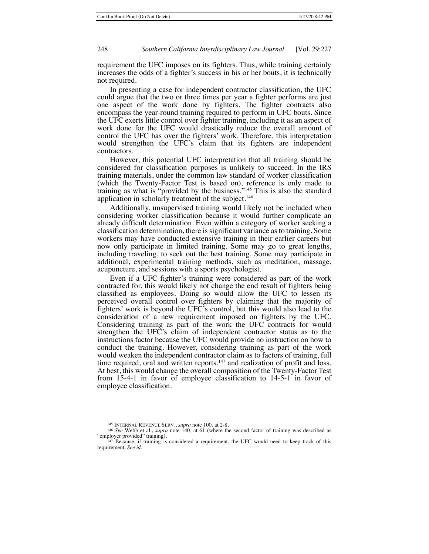requirement the UFC imposes on its fighters. Thus, while training certainly increases the odds of a fighter's success in his or her bouts, it is technically not required.

In presenting a case for independent contractor classification, the UFC could argue that the two or three times per year a fighter performs are just one aspect of the work done by fighters. The fighter contracts also encompass the year-round training required to perform in UFC bouts. Since the UFC exerts little control over fighter training, including it as an aspect of work done for the UFC would drastically reduce the overall amount of control the UFC has over the fighters' work. Therefore, this interpretation would strengthen the UFC's claim that its fighters are independent contractors.

However, this potential UFC interpretation that all training should be considered for classification purposes is unlikely to succeed. In the IRS training materials, under the common law standard of worker classification (which the Twenty-Factor Test is based on), reference is only made to training as what is "provided by the business."145 This is also the standard application in scholarly treatment of the subject.<sup>146</sup>

Additionally, unsupervised training would likely not be included when considering worker classification because it would further complicate an already difficult determination. Even within a category of worker seeking a classification determination, there is significant variance as to training. Some workers may have conducted extensive training in their earlier careers but now only participate in limited training. Some may go to great lengths, including traveling, to seek out the best training. Some may participate in additional, experimental training methods, such as meditation, massage, acupuncture, and sessions with a sports psychologist.

Even if a UFC fighter's training were considered as part of the work contracted for, this would likely not change the end result of fighters being classified as employees. Doing so would allow the UFC to lessen its perceived overall control over fighters by claiming that the majority of fighters' work is beyond the UFC's control, but this would also lead to the consideration of a new requirement imposed on fighters by the UFC. Considering training as part of the work the UFC contracts for would strengthen the UFC's claim of independent contractor status as to the instructions factor because the UFC would provide no instruction on how to conduct the training. However, considering training as part of the work would weaken the independent contractor claim as to factors of training, full time required, oral and written reports, $147$  and realization of profit and loss. At best, this would change the overall composition of the Twenty-Factor Test from 15-4-1 in favor of employee classification to 14-5-1 in favor of employee classification.

<sup>145</sup> INTERNAL REVENUE SERV., *supra* note 100, at 2-8.

<sup>146</sup> *See* Webb et al., *supra* note 140, at 61 (where the second factor of training was described as "employer provided" training).

 $147$  Because, if training is considered a requirement, the UFC would need to keep track of this requirement. *See id.*